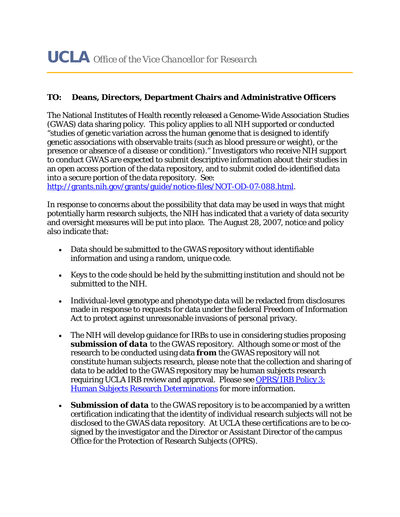## **TO: Deans, Directors, Department Chairs and Administrative Officers**

The National Institutes of Health recently released a Genome-Wide Association Studies (GWAS) data sharing policy. This policy applies to all NIH supported or conducted "studies of genetic variation across the human genome that is designed to identify genetic associations with observable traits (such as blood pressure or weight), or the presence or absence of a disease or condition)." Investigators who receive NIH support to conduct GWAS are expected to submit descriptive information about their studies in an open access portion of the data repository, and to submit coded de-identified data into a secure portion of the data repository. See:

http://grants.nih.gov/grants/guide/notice-files/NOT-OD-07-088.html.

In response to concerns about the possibility that data may be used in ways that might potentially harm research subjects, the NIH has indicated that a variety of data security and oversight measures will be put into place. The August 28, 2007, notice and policy also indicate that:

- Data should be submitted to the GWAS repository without identifiable information and using a random, unique code.
- Keys to the code should be held by the submitting institution and should not be submitted to the NIH.
- Individual-level genotype and phenotype data will be redacted from disclosures made in response to requests for data under the federal Freedom of Information Act to protect against unreasonable invasions of personal privacy.
- The NIH will develop guidance for IRBs to use in considering studies proposing *submission of data* to the GWAS repository. Although some or most of the research to be conducted using data *from* the GWAS repository will not constitute human subjects research, please note that the collection and sharing of data to be added to the GWAS repository may be human subjects research requiring UCLA IRB review and approval. Please see OPRS/IRB Policy 3: Human Subjects Research Determinations for more information.
- *Submission of data* to the GWAS repository is to be accompanied by a written certification indicating that the identity of individual research subjects will not be disclosed to the GWAS data repository. At UCLA these certifications are to be cosigned by the investigator and the Director or Assistant Director of the campus Office for the Protection of Research Subjects (OPRS).